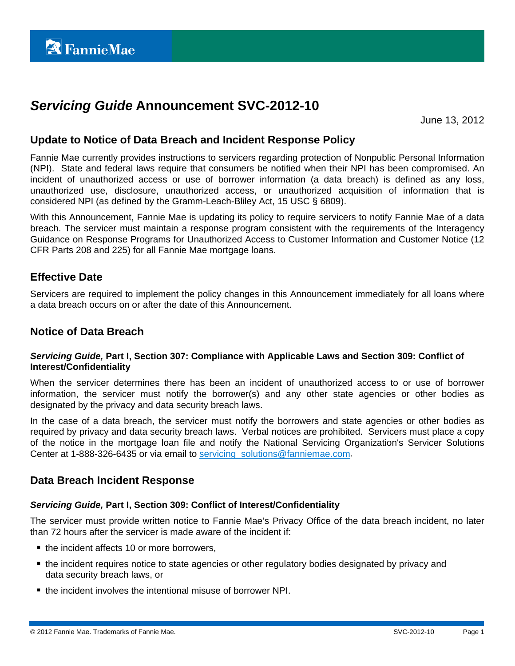# *Servicing Guide* **Announcement SVC-2012-10**

June 13, 2012

### **Update to Notice of Data Breach and Incident Response Policy**

Fannie Mae currently provides instructions to servicers regarding protection of Nonpublic Personal Information (NPI). State and federal laws require that consumers be notified when their NPI has been compromised. An incident of unauthorized access or use of borrower information (a data breach) is defined as any loss, unauthorized use, disclosure, unauthorized access, or unauthorized acquisition of information that is considered NPI (as defined by the Gramm-Leach-Bliley Act, 15 USC § 6809).

With this Announcement, Fannie Mae is updating its policy to require servicers to notify Fannie Mae of a data breach. The servicer must maintain a response program consistent with the requirements of the Interagency Guidance on Response Programs for Unauthorized Access to Customer Information and Customer Notice (12 CFR Parts 208 and 225) for all Fannie Mae mortgage loans.

## **Effective Date**

Servicers are required to implement the policy changes in this Announcement immediately for all loans where a data breach occurs on or after the date of this Announcement.

### **Notice of Data Breach**

#### *Servicing Guide,* **Part I, Section 307: Compliance with Applicable Laws and Section 309: Conflict of Interest/Confidentiality**

When the servicer determines there has been an incident of unauthorized access to or use of borrower information, the servicer must notify the borrower(s) and any other state agencies or other bodies as designated by the privacy and data security breach laws.

In the case of a data breach, the servicer must notify the borrowers and state agencies or other bodies as required by privacy and data security breach laws. Verbal notices are prohibited. Servicers must place a copy of the notice in the mortgage loan file and notify the National Servicing Organization's Servicer Solutions Center at 1-888-326-6435 or via email to servicing solutions@fanniemae.com.

### **Data Breach Incident Response**

#### *Servicing Guide,* **Part I, Section 309: Conflict of Interest/Confidentiality**

The servicer must provide written notice to Fannie Mae's Privacy Office of the data breach incident, no later than 72 hours after the servicer is made aware of the incident if:

- $\blacksquare$  the incident affects 10 or more borrowers,
- the incident requires notice to state agencies or other regulatory bodies designated by privacy and data security breach laws, or
- the incident involves the intentional misuse of borrower NPI.